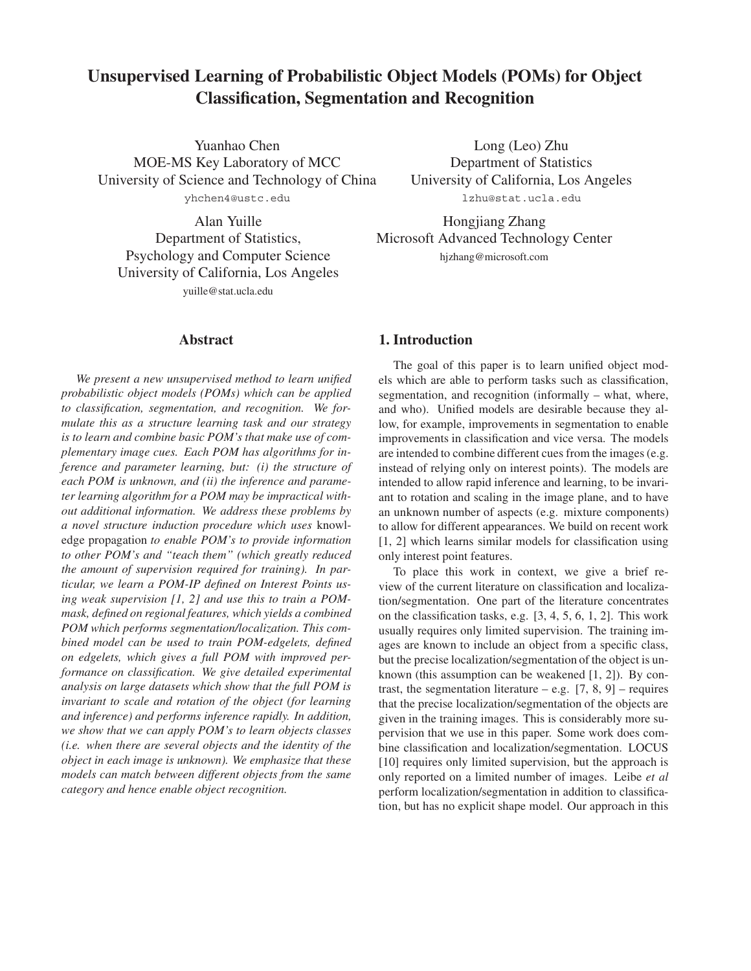# **Unsupervised Learning of Probabilistic Object Models (POMs) for Object Classification, Segmentation and Recognition**

Yuanhao Chen MOE-MS Key Laboratory of MCC University of Science and Technology of China yhchen4@ustc.edu

Alan Yuille Department of Statistics, Psychology and Computer Science University of California, Los Angeles yuille@stat.ucla.edu

**Abstract**

*We present a new unsupervised method to learn unified probabilistic object models (POMs) which can be applied to classification, segmentation, and recognition. We formulate this as a structure learning task and our strategy is to learn and combine basic POM's that make use of complementary image cues. Each POM has algorithms for inference and parameter learning, but: (i) the structure of each POM is unknown, and (ii) the inference and parameter learning algorithm for a POM may be impractical without additional information. We address these problems by a novel structure induction procedure which uses* knowledge propagation *to enable POM's to provide information to other POM's and "teach them" (which greatly reduced the amount of supervision required for training). In particular, we learn a POM-IP defined on Interest Points using weak supervision [1, 2] and use this to train a POMmask, defined on regional features, which yields a combined POM which performs segmentation/localization. This combined model can be used to train POM-edgelets, defined on edgelets, which gives a full POM with improved performance on classification. We give detailed experimental analysis on large datasets which show that the full POM is invariant to scale and rotation of the object (for learning and inference) and performs inference rapidly. In addition, we show that we can apply POM's to learn objects classes (i.e. when there are several objects and the identity of the object in each image is unknown). We emphasize that these models can match between different objects from the same category and hence enable object recognition.*

Long (Leo) Zhu Department of Statistics University of California, Los Angeles lzhu@stat.ucla.edu

Hongjiang Zhang Microsoft Advanced Technology Center hjzhang@microsoft.com

# **1. Introduction**

The goal of this paper is to learn unified object models which are able to perform tasks such as classification, segmentation, and recognition (informally – what, where, and who). Unified models are desirable because they allow, for example, improvements in segmentation to enable improvements in classification and vice versa. The models are intended to combine different cues from the images (e.g. instead of relying only on interest points). The models are intended to allow rapid inference and learning, to be invariant to rotation and scaling in the image plane, and to have an unknown number of aspects (e.g. mixture components) to allow for different appearances. We build on recent work [1, 2] which learns similar models for classification using only interest point features.

To place this work in context, we give a brief review of the current literature on classification and localization/segmentation. One part of the literature concentrates on the classification tasks, e.g. [3, 4, 5, 6, 1, 2]. This work usually requires only limited supervision. The training images are known to include an object from a specific class, but the precise localization/segmentation of the object is unknown (this assumption can be weakened [1, 2]). By contrast, the segmentation literature – e.g.  $[7, 8, 9]$  – requires that the precise localization/segmentation of the objects are given in the training images. This is considerably more supervision that we use in this paper. Some work does combine classification and localization/segmentation. LOCUS [10] requires only limited supervision, but the approach is only reported on a limited number of images. Leibe *et al* perform localization/segmentation in addition to classification, but has no explicit shape model. Our approach in this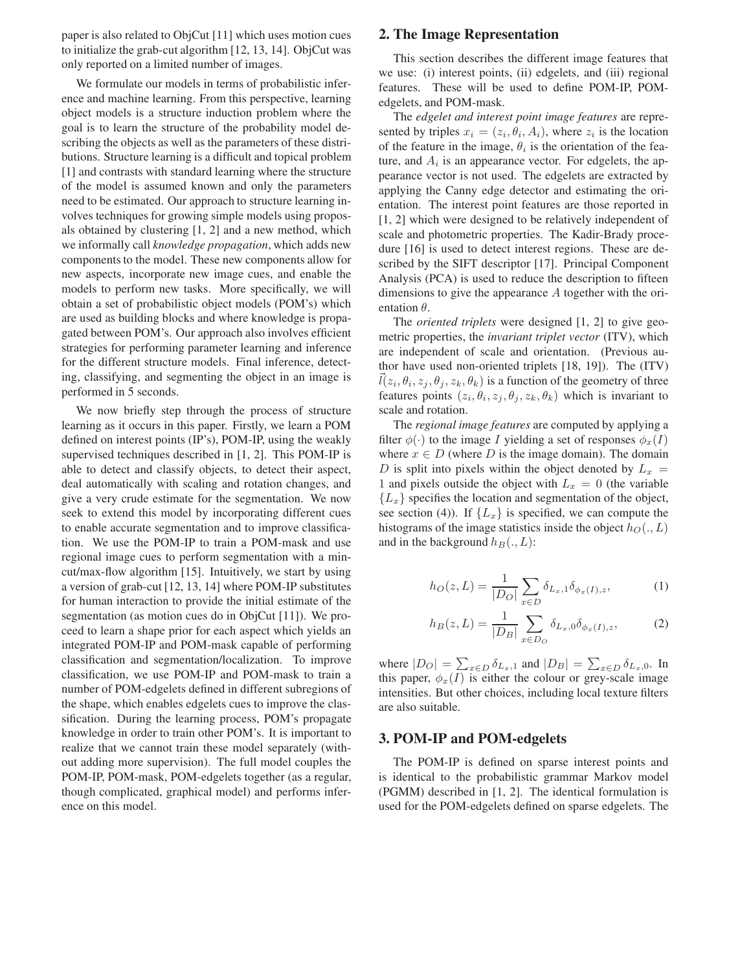paper is also related to ObjCut [11] which uses motion cues to initialize the grab-cut algorithm [12, 13, 14]. ObjCut was only reported on a limited number of images.

We formulate our models in terms of probabilistic inference and machine learning. From this perspective, learning object models is a structure induction problem where the goal is to learn the structure of the probability model describing the objects as well as the parameters of these distributions. Structure learning is a difficult and topical problem [1] and contrasts with standard learning where the structure of the model is assumed known and only the parameters need to be estimated. Our approach to structure learning involves techniques for growing simple models using proposals obtained by clustering [1, 2] and a new method, which we informally call *knowledge propagation*, which adds new components to the model. These new components allow for new aspects, incorporate new image cues, and enable the models to perform new tasks. More specifically, we will obtain a set of probabilistic object models (POM's) which are used as building blocks and where knowledge is propagated between POM's. Our approach also involves efficient strategies for performing parameter learning and inference for the different structure models. Final inference, detecting, classifying, and segmenting the object in an image is performed in 5 seconds.

We now briefly step through the process of structure learning as it occurs in this paper. Firstly, we learn a POM defined on interest points (IP's), POM-IP, using the weakly supervised techniques described in [1, 2]. This POM-IP is able to detect and classify objects, to detect their aspect, deal automatically with scaling and rotation changes, and give a very crude estimate for the segmentation. We now seek to extend this model by incorporating different cues to enable accurate segmentation and to improve classification. We use the POM-IP to train a POM-mask and use regional image cues to perform segmentation with a mincut/max-flow algorithm [15]. Intuitively, we start by using a version of grab-cut [12, 13, 14] where POM-IP substitutes for human interaction to provide the initial estimate of the segmentation (as motion cues do in ObjCut [11]). We proceed to learn a shape prior for each aspect which yields an integrated POM-IP and POM-mask capable of performing classification and segmentation/localization. To improve classification, we use POM-IP and POM-mask to train a number of POM-edgelets defined in different subregions of the shape, which enables edgelets cues to improve the classification. During the learning process, POM's propagate knowledge in order to train other POM's. It is important to realize that we cannot train these model separately (without adding more supervision). The full model couples the POM-IP, POM-mask, POM-edgelets together (as a regular, though complicated, graphical model) and performs inference on this model.

#### **2. The Image Representation**

This section describes the different image features that we use: (i) interest points, (ii) edgelets, and (iii) regional features. These will be used to define POM-IP, POMedgelets, and POM-mask.

The *edgelet and interest point image features* are represented by triples  $x_i = (z_i, \theta_i, A_i)$ , where  $z_i$  is the location of the feature in the image,  $\theta_i$  is the orientation of the feature, and  $A_i$  is an appearance vector. For edgelets, the appearance vector is not used. The edgelets are extracted by applying the Canny edge detector and estimating the orientation. The interest point features are those reported in [1, 2] which were designed to be relatively independent of scale and photometric properties. The Kadir-Brady procedure [16] is used to detect interest regions. These are described by the SIFT descriptor [17]. Principal Component Analysis (PCA) is used to reduce the description to fifteen dimensions to give the appearance A together with the orientation  $\theta$ .

The *oriented triplets* were designed [1, 2] to give geometric properties, the *invariant triplet vector* (ITV), which are independent of scale and orientation. (Previous author have used non-oriented triplets [18, 19]). The (ITV)  $\vec{l}(z_i, \theta_i, z_j, \theta_j, z_k, \theta_k)$  is a function of the geometry of three<br>features points  $(z_i, \theta_i, z_j, \theta_i, z_i, \theta_i)$  which is invariant to features points  $(z_i, \theta_i, z_j, \theta_j, z_k, \theta_k)$  which is invariant to scale and rotation.

The *regional image features* are computed by applying a filter  $\phi(\cdot)$  to the image I yielding a set of responses  $\phi_x(I)$ where  $x \in D$  (where D is the image domain). The domain D is split into pixels within the object denoted by  $L_x =$ 1 and pixels outside the object with  $L_x = 0$  (the variable  ${L_x}$  specifies the location and segmentation of the object, see section (4)). If  ${L_x}$  is specified, we can compute the histograms of the image statistics inside the object  $h_O(., L)$ and in the background  $h_B(., L)$ :

$$
h_O(z, L) = \frac{1}{|D_O|} \sum_{x \in D} \delta_{L_x, 1} \delta_{\phi_x(I), z},
$$
 (1)

$$
h_B(z, L) = \frac{1}{|D_B|} \sum_{x \in D_O} \delta_{L_x,0} \delta_{\phi_x(I),z},
$$
 (2)

where  $|D_O| = \sum_{x \in D} \delta_{L_x,1}$  and  $|D_B| = \sum_{x \in D} \delta_{L_x,0}$ . In<br>this paper  $\phi$  (*I*) is either the colour or grey-scale image this paper,  $\phi_x(I)$  is either the colour or grey-scale image intensities. But other choices, including local texture filters are also suitable.

## **3. POM-IP and POM-edgelets**

The POM-IP is defined on sparse interest points and is identical to the probabilistic grammar Markov model (PGMM) described in [1, 2]. The identical formulation is used for the POM-edgelets defined on sparse edgelets. The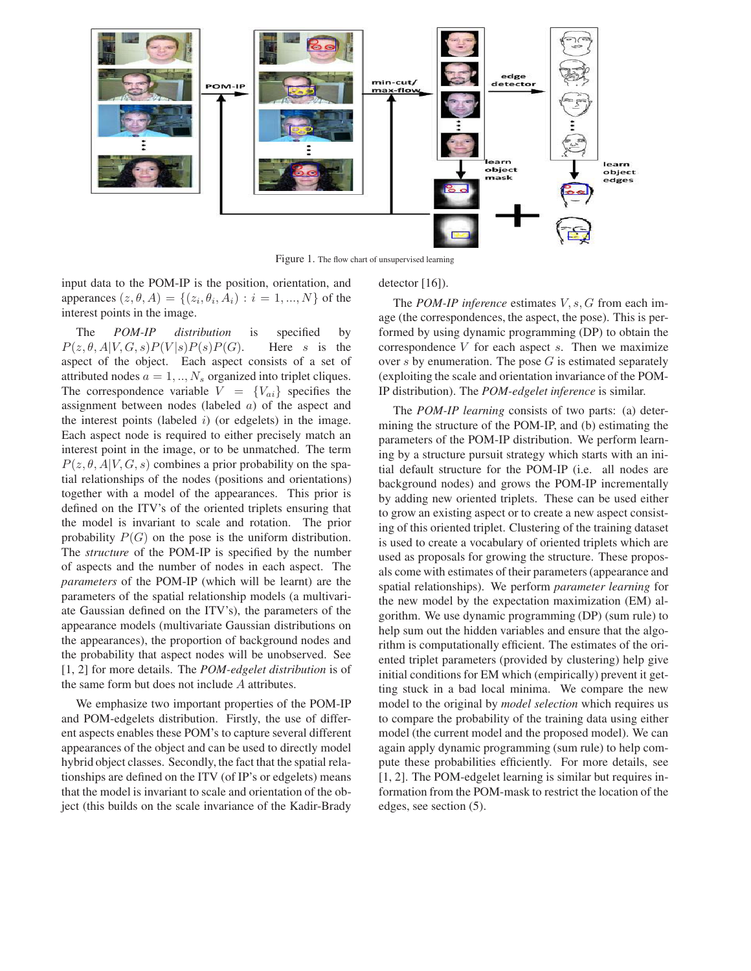

Figure 1. The flow chart of unsupervised learning

input data to the POM-IP is the position, orientation, and apperances  $(z, \theta, A) = \{(z_i, \theta_i, A_i) : i = 1, ..., N\}$  of the interest points in the image.

The *POM-IP distribution* is specified by  $P(z, \theta, A|V, G, s)P(V|s)P(s)P(G)$ . Here s is the aspect of the object. Each aspect consists of a set of attributed nodes  $a = 1, \dots, N_s$  organized into triplet cliques. The correspondence variable  $V = \{V_{ai}\}\$  specifies the assignment between nodes (labeled a) of the aspect and the interest points (labeled  $i$ ) (or edgelets) in the image. Each aspect node is required to either precisely match an interest point in the image, or to be unmatched. The term  $P(z, \theta, A|V, G, s)$  combines a prior probability on the spatial relationships of the nodes (positions and orientations) together with a model of the appearances. This prior is defined on the ITV's of the oriented triplets ensuring that the model is invariant to scale and rotation. The prior probability  $P(G)$  on the pose is the uniform distribution. The *structure* of the POM-IP is specified by the number of aspects and the number of nodes in each aspect. The *parameters* of the POM-IP (which will be learnt) are the parameters of the spatial relationship models (a multivariate Gaussian defined on the ITV's), the parameters of the appearance models (multivariate Gaussian distributions on the appearances), the proportion of background nodes and the probability that aspect nodes will be unobserved. See [1, 2] for more details. The *POM-edgelet distribution* is of the same form but does not include A attributes.

We emphasize two important properties of the POM-IP and POM-edgelets distribution. Firstly, the use of different aspects enables these POM's to capture several different appearances of the object and can be used to directly model hybrid object classes. Secondly, the fact that the spatial relationships are defined on the ITV (of IP's or edgelets) means that the model is invariant to scale and orientation of the object (this builds on the scale invariance of the Kadir-Brady detector [16]).

The *POM-IP inference* estimates V, s, G from each image (the correspondences, the aspect, the pose). This is performed by using dynamic programming (DP) to obtain the correspondence  $V$  for each aspect  $s$ . Then we maximize over s by enumeration. The pose  $G$  is estimated separately (exploiting the scale and orientation invariance of the POM-IP distribution). The *POM-edgelet inference* is similar.

The *POM-IP learning* consists of two parts: (a) determining the structure of the POM-IP, and (b) estimating the parameters of the POM-IP distribution. We perform learning by a structure pursuit strategy which starts with an initial default structure for the POM-IP (i.e. all nodes are background nodes) and grows the POM-IP incrementally by adding new oriented triplets. These can be used either to grow an existing aspect or to create a new aspect consisting of this oriented triplet. Clustering of the training dataset is used to create a vocabulary of oriented triplets which are used as proposals for growing the structure. These proposals come with estimates of their parameters (appearance and spatial relationships). We perform *parameter learning* for the new model by the expectation maximization (EM) algorithm. We use dynamic programming (DP) (sum rule) to help sum out the hidden variables and ensure that the algorithm is computationally efficient. The estimates of the oriented triplet parameters (provided by clustering) help give initial conditions for EM which (empirically) prevent it getting stuck in a bad local minima. We compare the new model to the original by *model selection* which requires us to compare the probability of the training data using either model (the current model and the proposed model). We can again apply dynamic programming (sum rule) to help compute these probabilities efficiently. For more details, see [1, 2]. The POM-edgelet learning is similar but requires information from the POM-mask to restrict the location of the edges, see section (5).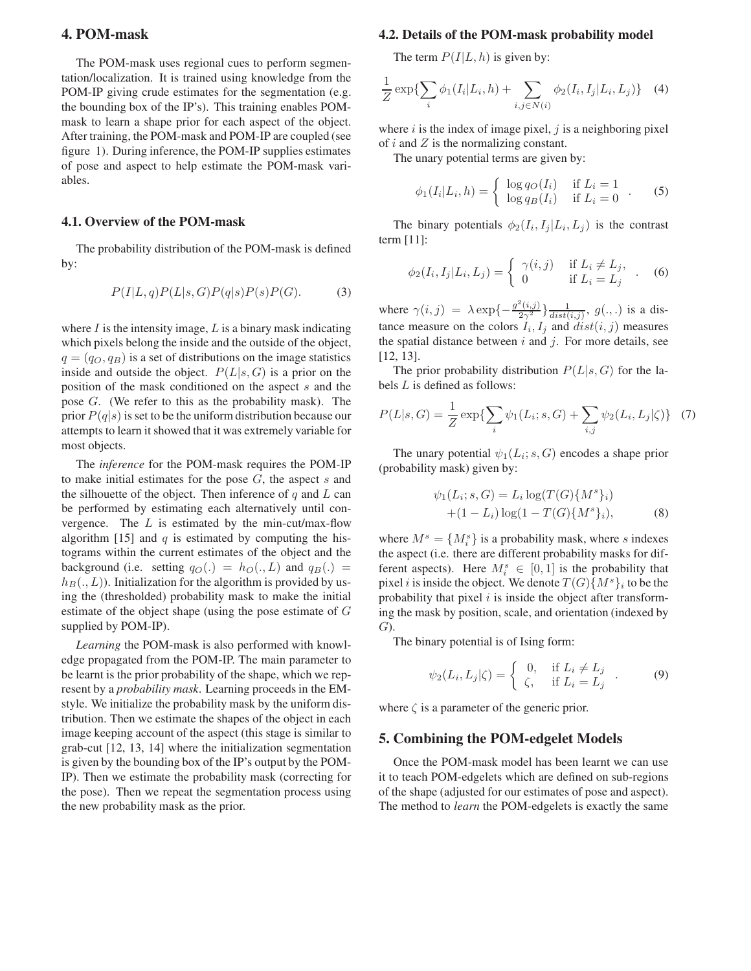# **4. POM-mask**

The POM-mask uses regional cues to perform segmentation/localization. It is trained using knowledge from the POM-IP giving crude estimates for the segmentation (e.g. the bounding box of the IP's). This training enables POMmask to learn a shape prior for each aspect of the object. After training, the POM-mask and POM-IP are coupled (see figure 1). During inference, the POM-IP supplies estimates of pose and aspect to help estimate the POM-mask variables.

#### **4.1. Overview of the POM-mask**

The probability distribution of the POM-mask is defined by:

$$
P(I|L,q)P(L|s,G)P(q|s)P(s)P(G).
$$
 (3)

where  $I$  is the intensity image,  $L$  is a binary mask indicating which pixels belong the inside and the outside of the object,  $q = (q_O, q_B)$  is a set of distributions on the image statistics inside and outside the object.  $P(L|s, G)$  is a prior on the position of the mask conditioned on the aspect s and the pose G. (We refer to this as the probability mask). The prior  $P(q|s)$  is set to be the uniform distribution because our attempts to learn it showed that it was extremely variable for most objects.

The *inference* for the POM-mask requires the POM-IP to make initial estimates for the pose  $G$ , the aspect  $s$  and the silhouette of the object. Then inference of  $q$  and  $L$  can be performed by estimating each alternatively until convergence. The  $L$  is estimated by the min-cut/max-flow algorithm [15] and  $q$  is estimated by computing the histograms within the current estimates of the object and the background (i.e. setting  $q_O(.) = h_O(., L)$  and  $q_B(.)$  $h_B(., L)$ ). Initialization for the algorithm is provided by using the (thresholded) probability mask to make the initial estimate of the object shape (using the pose estimate of G supplied by POM-IP).

*Learning* the POM-mask is also performed with knowledge propagated from the POM-IP. The main parameter to be learnt is the prior probability of the shape, which we represent by a *probability mask*. Learning proceeds in the EMstyle. We initialize the probability mask by the uniform distribution. Then we estimate the shapes of the object in each image keeping account of the aspect (this stage is similar to grab-cut [12, 13, 14] where the initialization segmentation is given by the bounding box of the IP's output by the POM-IP). Then we estimate the probability mask (correcting for the pose). Then we repeat the segmentation process using the new probability mask as the prior.

#### **4.2. Details of the POM-mask probability model**

The term  $P(I|L, h)$  is given by:

$$
\frac{1}{Z} \exp\{\sum_{i} \phi_1(I_i|L_i, h) + \sum_{i,j \in N(i)} \phi_2(I_i, I_j|L_i, L_j)\} \tag{4}
$$

where  $i$  is the index of image pixel,  $j$  is a neighboring pixel of  $i$  and  $Z$  is the normalizing constant.

The unary potential terms are given by:

$$
\phi_1(I_i|L_i, h) = \begin{cases} \log q_O(I_i) & \text{if } L_i = 1 \\ \log q_B(I_i) & \text{if } L_i = 0 \end{cases} . \tag{5}
$$

The binary potentials  $\phi_2(I_i, I_j | L_i, L_j)$  is the contrast term [11]:

$$
\phi_2(I_i, I_j | L_i, L_j) = \begin{cases} \gamma(i,j) & \text{if } L_i \neq L_j, \\ 0 & \text{if } L_i = L_j \end{cases} . \tag{6}
$$

where  $\gamma(i, j) = \lambda \exp\{-\frac{g^2(i, j)}{2\gamma^2}\}\frac{1}{dist(i, j)}, g(., .)$  is a distance measure on the colors  $I_i, I_j$  and  $dist(i, j)$  measures the spatial distance between  $i$  and  $j$ . For more details, see [12, 13].

The prior probability distribution  $P(L|s, G)$  for the labels L is defined as follows:

$$
P(L|s, G) = \frac{1}{Z} \exp\{\sum_{i} \psi_1(L_i; s, G) + \sum_{i,j} \psi_2(L_i, L_j|\zeta)\} \tag{7}
$$

The unary potential  $\psi_1(L_i; s, G)$  encodes a shape prior (probability mask) given by:

$$
\psi_1(L_i; s, G) = L_i \log(T(G)\{M^s\}_i) + (1 - L_i) \log(1 - T(G)\{M^s\}_i),
$$
\n(8)

where  $M^s = \{M_i^s\}$  is a probability mask, where s indexes<br>the aspect (i.e. there are different probability masks for difthe aspect (i.e. there are different probability masks for different aspects). Here  $M_i^s \in [0,1]$  is the probability that pixel *i* is inside the object. We denote  $T(G)$   $M_s$  to be the pixel *i* is inside the object. We denote  $T(G)\{M^s\}_i$  to be the probability that pixel  $i$  is inside the object after transforming the mask by position, scale, and orientation (indexed by G).

The binary potential is of Ising form:

$$
\psi_2(L_i, L_j|\zeta) = \begin{cases} 0, & \text{if } L_i \neq L_j \\ \zeta, & \text{if } L_i = L_j \end{cases} . \tag{9}
$$

where  $\zeta$  is a parameter of the generic prior.

## **5. Combining the POM-edgelet Models**

Once the POM-mask model has been learnt we can use it to teach POM-edgelets which are defined on sub-regions of the shape (adjusted for our estimates of pose and aspect). The method to *learn* the POM-edgelets is exactly the same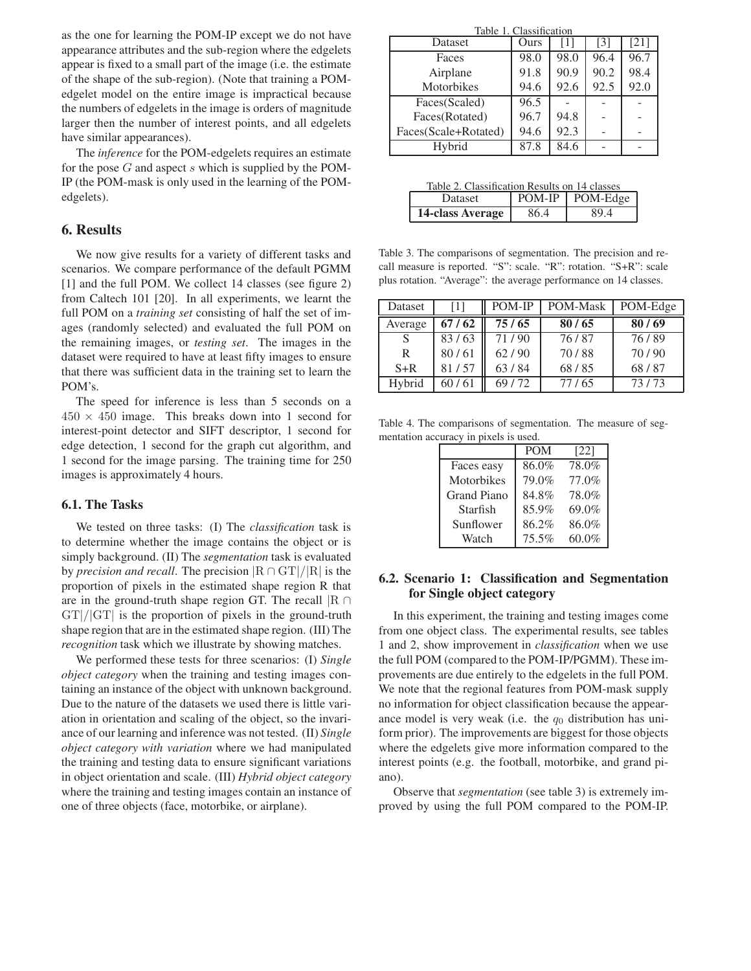as the one for learning the POM-IP except we do not have appearance attributes and the sub-region where the edgelets appear is fixed to a small part of the image (i.e. the estimate of the shape of the sub-region). (Note that training a POMedgelet model on the entire image is impractical because the numbers of edgelets in the image is orders of magnitude larger then the number of interest points, and all edgelets have similar appearances).

The *inference* for the POM-edgelets requires an estimate for the pose  $G$  and aspect  $s$  which is supplied by the POM-IP (the POM-mask is only used in the learning of the POMedgelets).

# **6. Results**

We now give results for a variety of different tasks and scenarios. We compare performance of the default PGMM [1] and the full POM. We collect 14 classes (see figure 2) from Caltech 101 [20]. In all experiments, we learnt the full POM on a *training set* consisting of half the set of images (randomly selected) and evaluated the full POM on the remaining images, or *testing set*. The images in the dataset were required to have at least fifty images to ensure that there was sufficient data in the training set to learn the POM's.

The speed for inference is less than 5 seconds on a  $450 \times 450$  image. This breaks down into 1 second for interest-point detector and SIFT descriptor, 1 second for edge detection, 1 second for the graph cut algorithm, and 1 second for the image parsing. The training time for 250 images is approximately 4 hours.

### **6.1. The Tasks**

We tested on three tasks: (I) The *classification* task is to determine whether the image contains the object or is simply background. (II) The *segmentation* task is evaluated by *precision and recall*. The precision  $|R \cap GT|/|R|$  is the proportion of pixels in the estimated shape region R that are in the ground-truth shape region GT. The recall  $|R \cap$  $\frac{1}{\text{GT}}$  GT|/|GT| is the proportion of pixels in the ground-truth shape region that are in the estimated shape region. (III) The *recognition* task which we illustrate by showing matches.

We performed these tests for three scenarios: (I) *Single object category* when the training and testing images containing an instance of the object with unknown background. Due to the nature of the datasets we used there is little variation in orientation and scaling of the object, so the invariance of our learning and inference was not tested. (II) *Single object category with variation* where we had manipulated the training and testing data to ensure significant variations in object orientation and scale. (III) *Hybrid object category* where the training and testing images contain an instance of one of three objects (face, motorbike, or airplane).

| Table 1. Classification |      |      |      |      |
|-------------------------|------|------|------|------|
| Dataset                 | Ours | Ш    | [3]  | [21] |
| Faces                   | 98.0 | 98.0 | 96.4 | 96.7 |
| Airplane                | 91.8 | 90.9 | 90.2 | 98.4 |
| Motorbikes              | 94.6 | 92.6 | 92.5 | 92.0 |
| Faces(Scaled)           | 96.5 |      |      |      |
| Faces(Rotated)          | 96.7 | 94.8 |      |      |
| Faces(Scale+Rotated)    | 94.6 | 92.3 |      |      |
| Hybrid                  | 87.8 | 84.6 |      |      |

| Table 2. Classification Results on 14 classes |      |                              |  |
|-----------------------------------------------|------|------------------------------|--|
| Dataset                                       |      | $\overline{POM-IP}$ POM-Edge |  |
| 14-class Average                              | 86.4 | 89.4                         |  |

Table 3. The comparisons of segmentation. The precision and recall measure is reported. "S": scale. "R": rotation. "S+R": scale plus rotation. "Average": the average performance on 14 classes.

| Dataset | $\lceil 1 \rceil$ | POM-IP | POM-Mask | POM-Edge |
|---------|-------------------|--------|----------|----------|
| Average | 67/62             | 75/65  | 80/65    | 80/69    |
|         | 83/63             | 71/90  | 76/87    | 76/89    |
| R       | 80/61             | 62/90  | 70/88    | 70/90    |
| $S+R$   | 81/57             | 63/84  | 68/85    | 68/87    |
| Hybrid  | 60/61             | 69/72  | 77/65    | 73/73    |

Table 4. The comparisons of segmentation. The measure of segmentation accuracy in pixels is used.

|                    | <b>POM</b> | [22]  |
|--------------------|------------|-------|
| Faces easy         | 86.0%      | 78.0% |
| Motorbikes         | 79.0%      | 77.0% |
| <b>Grand Piano</b> | 84.8%      | 78.0% |
| Starfish           | 85.9%      | 69.0% |
| Sunflower          | 86.2%      | 86.0% |
| Watch              | 75.5%      | 60.0% |

# **6.2. Scenario 1: Classification and Segmentation for Single object category**

In this experiment, the training and testing images come from one object class. The experimental results, see tables 1 and 2, show improvement in *classification* when we use the full POM (compared to the POM-IP/PGMM). These improvements are due entirely to the edgelets in the full POM. We note that the regional features from POM-mask supply no information for object classification because the appearance model is very weak (i.e. the  $q_0$  distribution has uniform prior). The improvements are biggest for those objects where the edgelets give more information compared to the interest points (e.g. the football, motorbike, and grand piano).

Observe that *segmentation* (see table 3) is extremely improved by using the full POM compared to the POM-IP.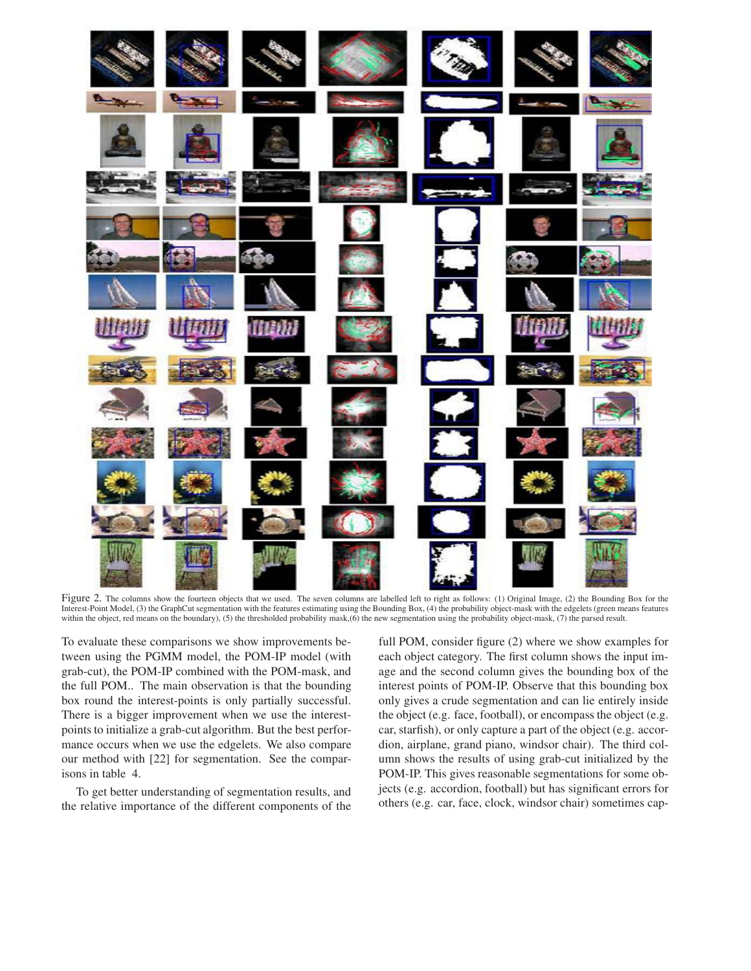

Figure 2. The columns show the fourteen objects that we used. The seven columns are labelled left to right as follows: (1) Original Image, (2) the Bounding Box for the Interest-Point Model, (3) the GraphCut segmentation with the features estimating using the Bounding Box, (4) the probability object-mask with the edgelets (green means features within the object, red means on the boundary), (5) the thresholded probability mask, (6) the new segmentation using the probability object-mask, (7) the parsed result.

To evaluate these comparisons we show improvements between using the PGMM model, the POM-IP model (with grab-cut), the POM-IP combined with the POM-mask, and the full POM.. The main observation is that the bounding box round the interest-points is only partially successful. There is a bigger improvement when we use the interestpoints to initialize a grab-cut algorithm. But the best performance occurs when we use the edgelets. We also compare our method with [22] for segmentation. See the comparisons in table 4.

To get better understanding of segmentation results, and the relative importance of the different components of the full POM, consider figure (2) where we show examples for each object category. The first column shows the input image and the second column gives the bounding box of the interest points of POM-IP. Observe that this bounding box only gives a crude segmentation and can lie entirely inside the object (e.g. face, football), or encompass the object (e.g. car, starfish), or only capture a part of the object (e.g. accordion, airplane, grand piano, windsor chair). The third column shows the results of using grab-cut initialized by the POM-IP. This gives reasonable segmentations for some objects (e.g. accordion, football) but has significant errors for others (e.g. car, face, clock, windsor chair) sometimes cap-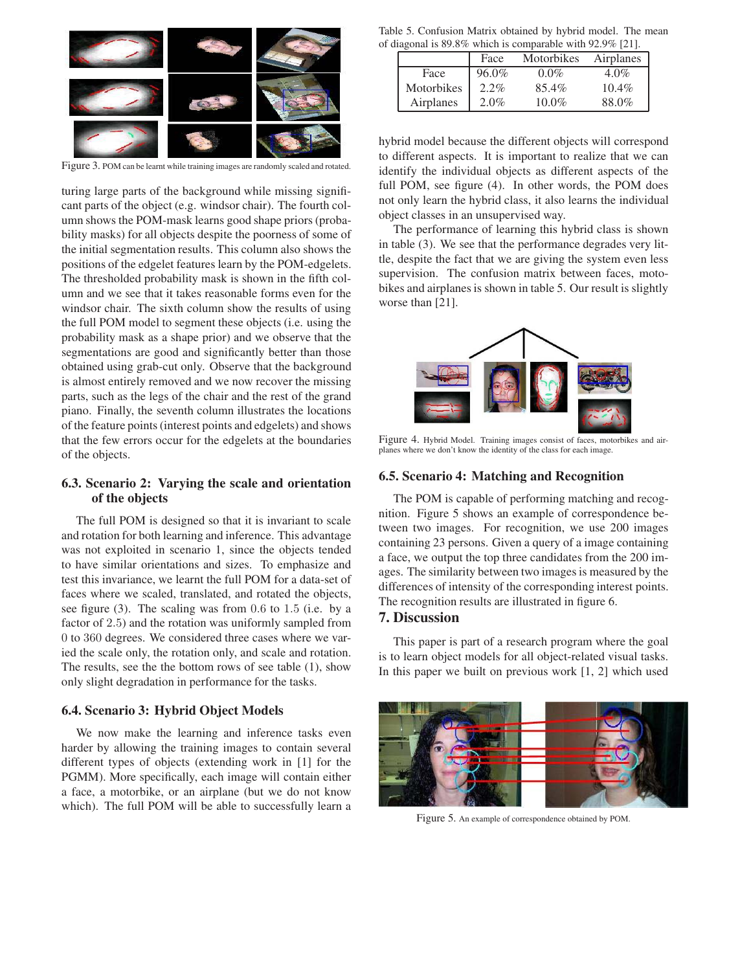

Figure 3. POM can be learnt while training images are randomly scaled and rotated.

turing large parts of the background while missing significant parts of the object (e.g. windsor chair). The fourth column shows the POM-mask learns good shape priors (probability masks) for all objects despite the poorness of some of the initial segmentation results. This column also shows the positions of the edgelet features learn by the POM-edgelets. The thresholded probability mask is shown in the fifth column and we see that it takes reasonable forms even for the windsor chair. The sixth column show the results of using the full POM model to segment these objects (i.e. using the probability mask as a shape prior) and we observe that the segmentations are good and significantly better than those obtained using grab-cut only. Observe that the background is almost entirely removed and we now recover the missing parts, such as the legs of the chair and the rest of the grand piano. Finally, the seventh column illustrates the locations of the feature points (interest points and edgelets) and shows that the few errors occur for the edgelets at the boundaries of the objects.

# **6.3. Scenario 2: Varying the scale and orientation of the objects**

The full POM is designed so that it is invariant to scale and rotation for both learning and inference. This advantage was not exploited in scenario 1, since the objects tended to have similar orientations and sizes. To emphasize and test this invariance, we learnt the full POM for a data-set of faces where we scaled, translated, and rotated the objects, see figure (3). The scaling was from 0.6 to 1.5 (i.e. by a factor of 2.5) and the rotation was uniformly sampled from 0 to 360 degrees. We considered three cases where we varied the scale only, the rotation only, and scale and rotation. The results, see the the bottom rows of see table (1), show only slight degradation in performance for the tasks.

## **6.4. Scenario 3: Hybrid Object Models**

We now make the learning and inference tasks even harder by allowing the training images to contain several different types of objects (extending work in [1] for the PGMM). More specifically, each image will contain either a face, a motorbike, or an airplane (but we do not know which). The full POM will be able to successfully learn a

Table 5. Confusion Matrix obtained by hybrid model. The mean of diagonal is 89.8% which is comparable with 92.9% [21].

|            | Face    | Motorbikes | Airplanes |
|------------|---------|------------|-----------|
| Face       | 96.0%   | $0.0\%$    | 4.0%      |
| Motorbikes | $2.2\%$ | 85.4%      | $10.4\%$  |
| Airplanes  | 2.0%    | $10.0\%$   | 88.0%     |

hybrid model because the different objects will correspond to different aspects. It is important to realize that we can identify the individual objects as different aspects of the full POM, see figure (4). In other words, the POM does not only learn the hybrid class, it also learns the individual object classes in an unsupervised way.

The performance of learning this hybrid class is shown in table (3). We see that the performance degrades very little, despite the fact that we are giving the system even less supervision. The confusion matrix between faces, motobikes and airplanes is shown in table 5. Our result is slightly worse than [21].



Figure 4. Hybrid Model. Training images consist of faces, motorbikes and airplanes where we don't know the identity of the class for each image.

#### **6.5. Scenario 4: Matching and Recognition**

The POM is capable of performing matching and recognition. Figure 5 shows an example of correspondence between two images. For recognition, we use 200 images containing 23 persons. Given a query of a image containing a face, we output the top three candidates from the 200 images. The similarity between two images is measured by the differences of intensity of the corresponding interest points. The recognition results are illustrated in figure 6.

#### **7. Discussion**

This paper is part of a research program where the goal is to learn object models for all object-related visual tasks. In this paper we built on previous work  $[1, 2]$  which used



Figure 5. An example of correspondence obtained by POM.